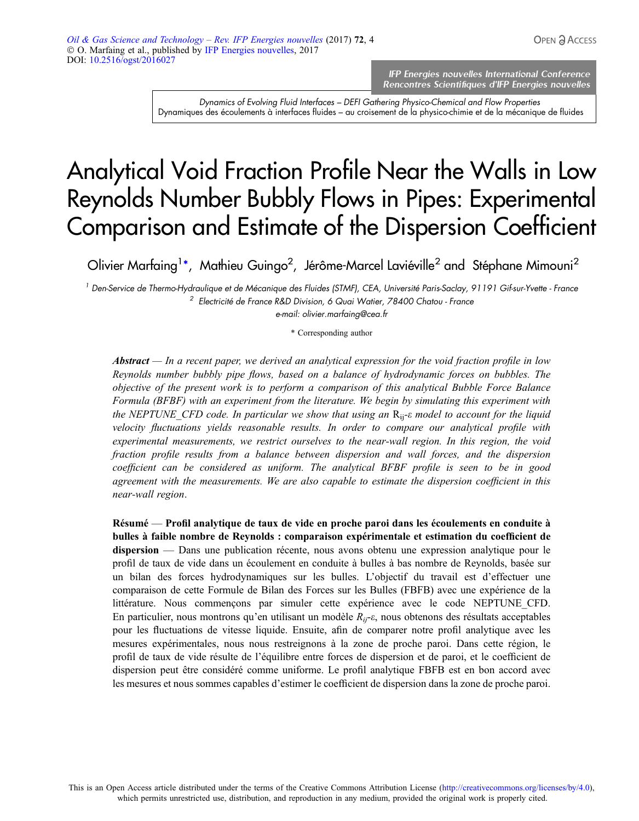IFP Energies nouvelles International Conference Rencontres Scientifiques d'IFP Energies nouvelles

Dynamics of Evolving Fluid Interfaces – DEFI Gathering Physico-Chemical and Flow Properties Dynamiques des écoulements à interfaces fluides – au croisement de la physico-chimie et de la mécanique de fluides

# Analytical Void Fraction Profile Near the Walls in Low Reynolds Number Bubbly Flows in Pipes: Experimental Comparison and Estimate of the Dispersion Coefficient

Olivier Marfaing<sup>1</sup>\*, Mathieu Guingo<sup>2</sup>, Jérôme-Marcel Laviéville<sup>2</sup> and Stéphane Mimouni<sup>2</sup>

 $^{\text{T}}$  Den-Service de Thermo-Hydraulique et de Mécanique des Fluides (STMF), CEA, Université Paris-Saclay, 91191 Gif-sur-Yvette - France <sup>2</sup> Electricité de France R&D Division, 6 Quai Watier, 78400 Chatou - France

e-mail: olivier.marfaing@cea.fr

\* Corresponding author

**Abstract** — In a recent paper, we derived an analytical expression for the void fraction profile in low Reynolds number bubbly pipe flows, based on a balance of hydrodynamic forces on bubbles. The objective of the present work is to perform a comparison of this analytical Bubble Force Balance Formula (BFBF) with an experiment from the literature. We begin by simulating this experiment with the NEPTUNE CFD code. In particular we show that using an  $R_{ii}$ - $\varepsilon$  model to account for the liquid velocity fluctuations yields reasonable results. In order to compare our analytical profile with experimental measurements, we restrict ourselves to the near-wall region. In this region, the void fraction profile results from a balance between dispersion and wall forces, and the dispersion coefficient can be considered as uniform. The analytical BFBF profile is seen to be in good agreement with the measurements. We are also capable to estimate the dispersion coefficient in this near-wall region.

Résumé — Profil analytique de taux de vide en proche paroi dans les écoulements en conduite à bulles à faible nombre de Reynolds : comparaison expérimentale et estimation du coefficient de dispersion — Dans une publication récente, nous avons obtenu une expression analytique pour le profil de taux de vide dans un écoulement en conduite à bulles à bas nombre de Reynolds, basée sur un bilan des forces hydrodynamiques sur les bulles. L'objectif du travail est d'effectuer une comparaison de cette Formule de Bilan des Forces sur les Bulles (FBFB) avec une expérience de la littérature. Nous commençons par simuler cette expérience avec le code NEPTUNE\_CFD. En particulier, nous montrons qu'en utilisant un modèle  $R_{ij}$ - $\varepsilon$ , nous obtenons des résultats acceptables pour les fluctuations de vitesse liquide. Ensuite, afin de comparer notre profil analytique avec les mesures expérimentales, nous nous restreignons à la zone de proche paroi. Dans cette région, le profil de taux de vide résulte de l'équilibre entre forces de dispersion et de paroi, et le coefficient de dispersion peut être considéré comme uniforme. Le profil analytique FBFB est en bon accord avec les mesures et nous sommes capables d'estimer le coefficient de dispersion dans la zone de proche paroi.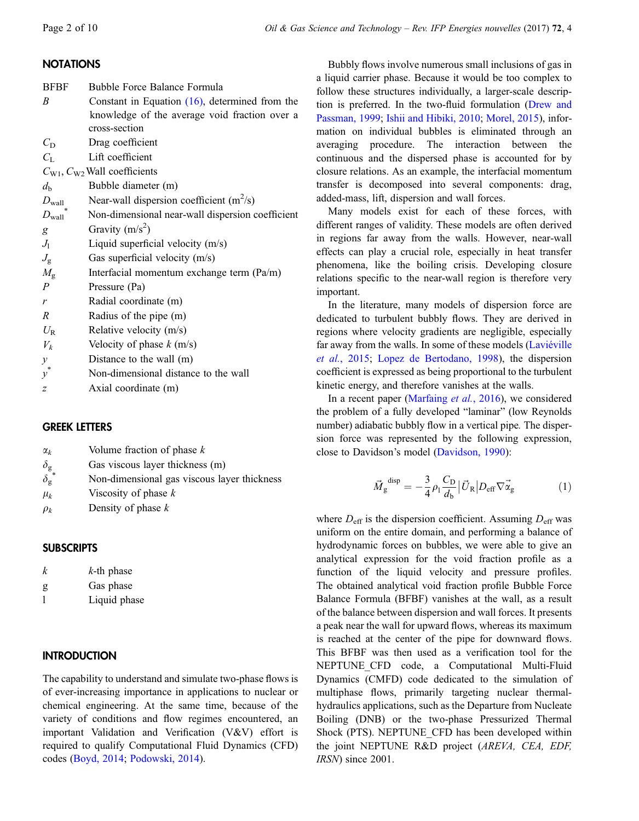## **NOTATIONS**

BFBF Bubble Force Balance Formula

| DLDL                   | Bubble Force Balance Formula                      |
|------------------------|---------------------------------------------------|
| B                      | Constant in Equation $(16)$ , determined from the |
|                        | knowledge of the average void fraction over a     |
|                        | cross-section                                     |
| $C_{\rm D}$            | Drag coefficient                                  |
| $C_{\rm L}$            | Lift coefficient                                  |
|                        | $C_{W1}$ , $C_{W2}$ Wall coefficients             |
| $d_{\rm h}$            | Bubble diameter (m)                               |
| $D_{\text{wall}}$      | Near-wall dispersion coefficient $(m^2/s)$        |
| $D_{\text{wall}}$      | Non-dimensional near-wall dispersion coefficient  |
| g                      | Gravity $(m/s^2)$                                 |
| $J_1$                  | Liquid superficial velocity $(m/s)$               |
| $J_{\rm g}$            | Gas superficial velocity (m/s)                    |
| $M_{\rm g}$            | Interfacial momentum exchange term (Pa/m)         |
| $\boldsymbol{P}$       | Pressure (Pa)                                     |
| r                      | Radial coordinate (m)                             |
| R                      | Radius of the pipe (m)                            |
| $U_{\rm R}$            | Relative velocity (m/s)                           |
| $V_k$                  | Velocity of phase $k$ (m/s)                       |
| $\mathcal{Y}_{\alpha}$ | Distance to the wall (m)                          |
| $y^*$                  | Non-dimensional distance to the wall              |
| Z                      | Axial coordinate (m)                              |
|                        |                                                   |

# GREEK LETTERS

| $\alpha_k$       | Volume fraction of phase $k$    |  |
|------------------|---------------------------------|--|
| $\delta_{\rm g}$ | Gas viscous layer thickness (m) |  |
| ~ *              |                                 |  |

- $\delta_{\rm g}$ Non-dimensional gas viscous layer thickness
- $\mu_k$  Viscosity of phase k
- $\rho_k$  Density of phase k

# **SUBSCRIPTS**

| k | $k$ -th phase |
|---|---------------|
| g | Gas phase     |
|   |               |

l Liquid phase

# **INTRODUCTION**

The capability to understand and simulate two-phase flows is of ever-increasing importance in applications to nuclear or chemical engineering. At the same time, because of the variety of conditions and flow regimes encountered, an important Validation and Verification (V&V) effort is required to qualify Computational Fluid Dynamics (CFD) codes [\(Boyd, 2014;](#page-9-0) [Podowski, 2014\)](#page-9-0).

Bubbly flows involve numerous small inclusions of gas in a liquid carrier phase. Because it would be too complex to follow these structures individually, a larger-scale description is preferred. In the two-fluid formulation [\(Drew and](#page-9-0) [Passman, 1999;](#page-9-0) [Ishii and Hibiki, 2010;](#page-9-0) [Morel, 2015](#page-9-0)), information on individual bubbles is eliminated through an averaging procedure. The interaction between the continuous and the dispersed phase is accounted for by closure relations. As an example, the interfacial momentum transfer is decomposed into several components: drag, added-mass, lift, dispersion and wall forces.

Many models exist for each of these forces, with different ranges of validity. These models are often derived in regions far away from the walls. However, near-wall effects can play a crucial role, especially in heat transfer phenomena, like the boiling crisis. Developing closure relations specific to the near-wall region is therefore very important.

In the literature, many models of dispersion force are dedicated to turbulent bubbly flows. They are derived in regions where velocity gradients are negligible, especially far away from the walls. In some of these models ([Laviéville](#page-9-0) et al.[, 2015](#page-9-0); [Lopez de Bertodano, 1998\)](#page-9-0), the dispersion coefficient is expressed as being proportional to the turbulent kinetic energy, and therefore vanishes at the walls.

In a recent paper [\(Marfaing](#page-9-0) *et al.*, 2016), we considered the problem of a fully developed "laminar" (low Reynolds number) adiabatic bubbly flow in a vertical pipe. The dispersion force was represented by the following expression, close to Davidson's model [\(Davidson, 1990\)](#page-9-0):

$$
\vec{M}_{\rm g}^{\rm disp} = -\frac{3}{4}\rho_1 \frac{C_{\rm D}}{d_{\rm b}} |\vec{U}_{\rm R}| D_{\rm eff} \nabla \vec{\alpha}_{\rm g}
$$
 (1)

where  $D_{\text{eff}}$  is the dispersion coefficient. Assuming  $D_{\text{eff}}$  was uniform on the entire domain, and performing a balance of hydrodynamic forces on bubbles, we were able to give an analytical expression for the void fraction profile as a function of the liquid velocity and pressure profiles. The obtained analytical void fraction profile Bubble Force Balance Formula (BFBF) vanishes at the wall, as a result of the balance between dispersion and wall forces. It presents a peak near the wall for upward flows, whereas its maximum is reached at the center of the pipe for downward flows. This BFBF was then used as a verification tool for the NEPTUNE CFD code, a Computational Multi-Fluid Dynamics (CMFD) code dedicated to the simulation of multiphase flows, primarily targeting nuclear thermalhydraulics applications, such as the Departure from Nucleate Boiling (DNB) or the two-phase Pressurized Thermal Shock (PTS). NEPTUNE\_CFD has been developed within the joint NEPTUNE R&D project (AREVA, CEA, EDF, IRSN) since 2001.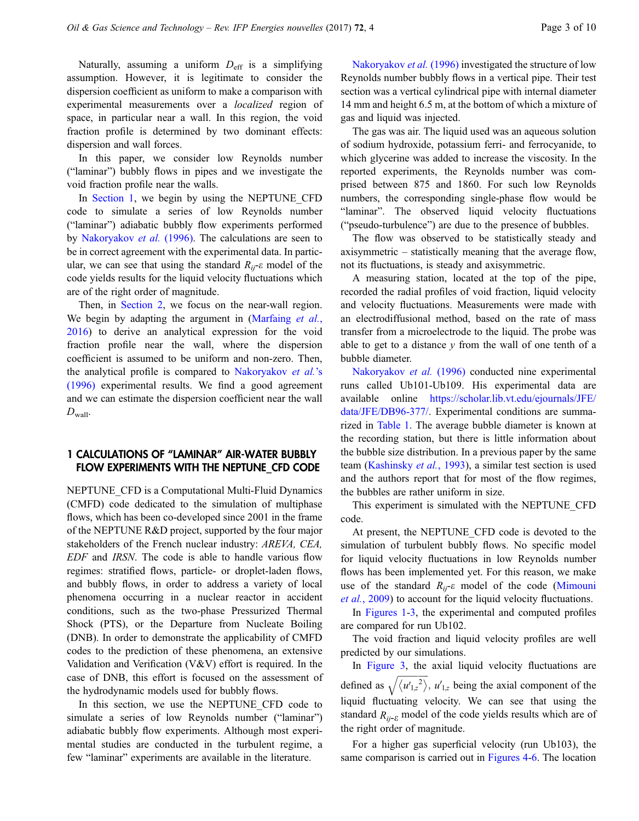<span id="page-2-0"></span>Naturally, assuming a uniform  $D_{\text{eff}}$  is a simplifying assumption. However, it is legitimate to consider the dispersion coefficient as uniform to make a comparison with experimental measurements over a localized region of space, in particular near a wall. In this region, the void fraction profile is determined by two dominant effects: dispersion and wall forces.

In this paper, we consider low Reynolds number ("laminar") bubbly flows in pipes and we investigate the void fraction profile near the walls.

In Section 1, we begin by using the NEPTUNE CFD code to simulate a series of low Reynolds number ("laminar") adiabatic bubbly flow experiments performed by [Nakoryakov](#page-9-0) et al. (1996). The calculations are seen to be in correct agreement with the experimental data. In particular, we can see that using the standard  $R_{ii}$ - $\varepsilon$  model of the code yields results for the liquid velocity fluctuations which are of the right order of magnitude.

Then, in [Section 2,](#page-4-0) we focus on the near-wall region. We begin by adapting the argument in ([Marfaing](#page-9-0) et al., [2016](#page-9-0)) to derive an analytical expression for the void fraction profile near the wall, where the dispersion coefficient is assumed to be uniform and non-zero. Then, the analytical profile is compared to [Nakoryakov](#page-9-0) et al.'s [\(1996\)](#page-9-0) experimental results. We find a good agreement and we can estimate the dispersion coefficient near the wall  $D_{\text{wall}}$ .

## 1 CALCULATIONS OF "LAMINAR" AIR-WATER BUBBLY FLOW EXPERIMENTS WITH THE NEPTUNE CFD CODE

NEPTUNE CFD is a Computational Multi-Fluid Dynamics (CMFD) code dedicated to the simulation of multiphase flows, which has been co-developed since 2001 in the frame of the NEPTUNE R&D project, supported by the four major stakeholders of the French nuclear industry: AREVA, CEA, EDF and IRSN. The code is able to handle various flow regimes: stratified flows, particle- or droplet-laden flows, and bubbly flows, in order to address a variety of local phenomena occurring in a nuclear reactor in accident conditions, such as the two-phase Pressurized Thermal Shock (PTS), or the Departure from Nucleate Boiling (DNB). In order to demonstrate the applicability of CMFD codes to the prediction of these phenomena, an extensive Validation and Verification (V&V) effort is required. In the case of DNB, this effort is focused on the assessment of the hydrodynamic models used for bubbly flows.

In this section, we use the NEPTUNE CFD code to simulate a series of low Reynolds number ("laminar") adiabatic bubbly flow experiments. Although most experimental studies are conducted in the turbulent regime, a few "laminar" experiments are available in the literature.

[Nakoryakov](#page-9-0) et al. (1996) investigated the structure of low Reynolds number bubbly flows in a vertical pipe. Their test section was a vertical cylindrical pipe with internal diameter 14 mm and height 6.5 m, at the bottom of which a mixture of gas and liquid was injected.

The gas was air. The liquid used was an aqueous solution of sodium hydroxide, potassium ferri- and ferrocyanide, to which glycerine was added to increase the viscosity. In the reported experiments, the Reynolds number was comprised between 875 and 1860. For such low Reynolds numbers, the corresponding single-phase flow would be "laminar". The observed liquid velocity fluctuations ("pseudo-turbulence") are due to the presence of bubbles.

The flow was observed to be statistically steady and axisymmetric – statistically meaning that the average flow, not its fluctuations, is steady and axisymmetric.

A measuring station, located at the top of the pipe, recorded the radial profiles of void fraction, liquid velocity and velocity fluctuations. Measurements were made with an electrodiffusional method, based on the rate of mass transfer from a microelectrode to the liquid. The probe was able to get to a distance  $\nu$  from the wall of one tenth of a bubble diameter.

[Nakoryakov](#page-9-0) et al. (1996) conducted nine experimental runs called Ub101-Ub109. His experimental data are available online [https://scholar.lib.vt.edu/ejournals/JFE/](https://scholar.lib.vt.edu/ejournals/JFE/data/JFE/DB96-377/) [data/JFE/DB96-377/](https://scholar.lib.vt.edu/ejournals/JFE/data/JFE/DB96-377/). Experimental conditions are summarized in [Table 1.](#page-3-0) The average bubble diameter is known at the recording station, but there is little information about the bubble size distribution. In a previous paper by the same team ([Kashinsky](#page-9-0) et al., 1993), a similar test section is used and the authors report that for most of the flow regimes, the bubbles are rather uniform in size.

This experiment is simulated with the NEPTUNE\_CFD code.

At present, the NEPTUNE\_CFD code is devoted to the simulation of turbulent bubbly flows. No specific model for liquid velocity fluctuations in low Reynolds number flows has been implemented yet. For this reason, we make use of the standard  $R_{ii}$ - $\varepsilon$  model of the code ([Mimouni](#page-9-0) et al.[, 2009](#page-9-0)) to account for the liquid velocity fluctuations.

In [Figures 1-3](#page-3-0), the experimental and computed profiles are compared for run Ub102.

The void fraction and liquid velocity profiles are well predicted by our simulations.

In [Figure 3,](#page-3-0) the axial liquid velocity fluctuations are defined as  $\sqrt{\langle u'_{1,z}^2 \rangle}$ ,  $u'_{1,z}$  being the axial component of the liquid fluctuating velocity. We can see that using the standard  $R_{ii-\epsilon}$  model of the code yields results which are of the right order of magnitude.

For a higher gas superficial velocity (run Ub103), the same comparison is carried out in [Figures 4-6](#page-4-0). The location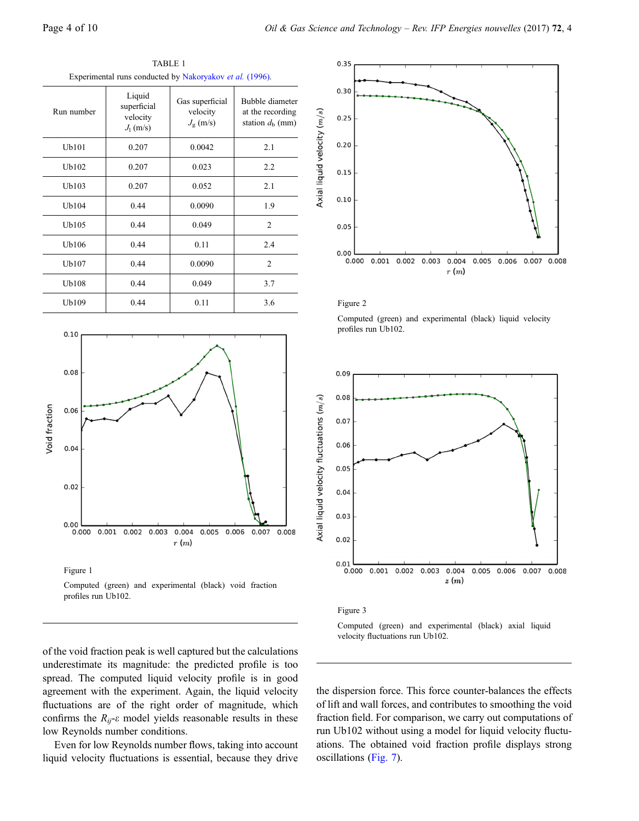<span id="page-3-0"></span>TABLE 1 Experimental runs conducted by [Nakoryakov](#page-9-0) et al. (1996).

| Run number   | Liquid<br>superficial<br>velocity<br>$J_1$ (m/s) | Gas superficial<br>velocity<br>$J_{\rm g}$ (m/s) | Bubble diameter<br>at the recording<br>station $db$ (mm) | Axial liquid velocity (m/s) | 0.30<br>0.25 |
|--------------|--------------------------------------------------|--------------------------------------------------|----------------------------------------------------------|-----------------------------|--------------|
| Ub101        | 0.207                                            | 0.0042                                           | 2.1                                                      |                             | 0.20         |
| Ub102        | 0.207                                            | 0.023                                            | 2.2                                                      |                             | 0.15         |
| Ub103        | 0.207                                            | 0.052                                            | 2.1                                                      |                             |              |
| Ub104        | 0.44                                             | 0.0090                                           | 1.9                                                      |                             | 0.10         |
| Ub105        | 0.44                                             | 0.049                                            | $\overline{2}$                                           |                             | 0.05         |
| Ub106        | 0.44                                             | 0.11                                             | 2.4                                                      |                             | 0.00         |
| Ub107        | 0.44                                             | 0.0090                                           | $\overline{2}$                                           |                             | 0.000        |
| <b>Ub108</b> | 0.44                                             | 0.049                                            | 3.7                                                      |                             |              |
| Ub109        | 0.44                                             | 0.11                                             | 3.6                                                      |                             | Figure 2     |



Computed (green) and experimental (black) void fraction profiles run Ub102.

of the void fraction peak is well captured but the calculations underestimate its magnitude: the predicted profile is too spread. The computed liquid velocity profile is in good agreement with the experiment. Again, the liquid velocity fluctuations are of the right order of magnitude, which confirms the  $R_{ij}$ - $\varepsilon$  model yields reasonable results in these low Reynolds number conditions.

Even for low Reynolds number flows, taking into account liquid velocity fluctuations is essential, because they drive





Computed (green) and experimental (black) liquid velocity profiles run Ub102.





Computed (green) and experimental (black) axial liquid velocity fluctuations run Ub102.

the dispersion force. This force counter-balances the effects of lift and wall forces, and contributes to smoothing the void fraction field. For comparison, we carry out computations of run Ub102 without using a model for liquid velocity fluctuations. The obtained void fraction profile displays strong oscillations ([Fig. 7\)](#page-4-0).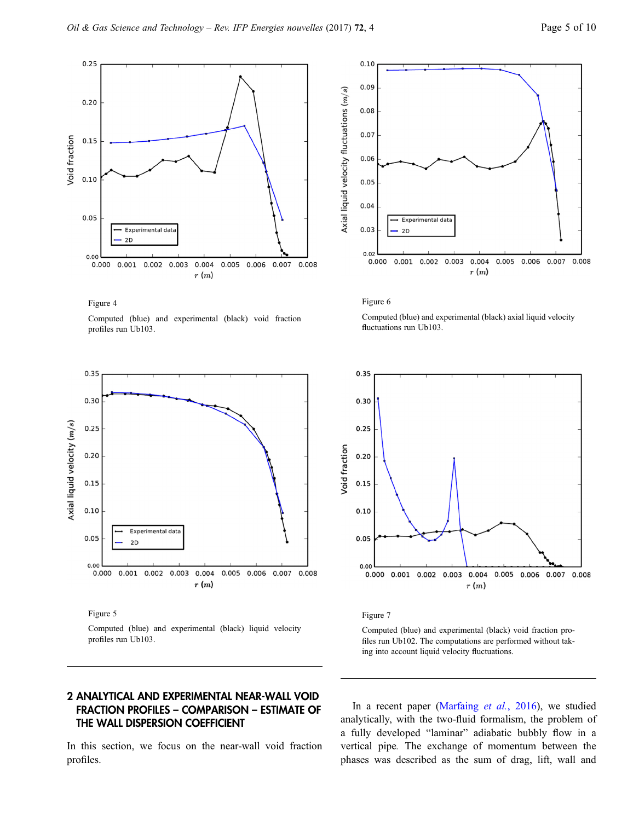<span id="page-4-0"></span>

Figure 4

Computed (blue) and experimental (black) void fraction profiles run Ub103.



Figure 5

Computed (blue) and experimental (black) liquid velocity profiles run Ub103.



Figure 6

Computed (blue) and experimental (black) axial liquid velocity fluctuations run Ub103.



Figure 7

Computed (blue) and experimental (black) void fraction profiles run Ub102. The computations are performed without taking into account liquid velocity fluctuations.

## 2 ANALYTICAL AND EXPERIMENTAL NEAR-WALL VOID FRACTION PROFILES – COMPARISON – ESTIMATE OF THE WALL DISPERSION COEFFICIENT

In this section, we focus on the near-wall void fraction profiles.

In a recent paper [\(Marfaing](#page-9-0) et al., 2016), we studied analytically, with the two-fluid formalism, the problem of a fully developed "laminar" adiabatic bubbly flow in a vertical pipe. The exchange of momentum between the phases was described as the sum of drag, lift, wall and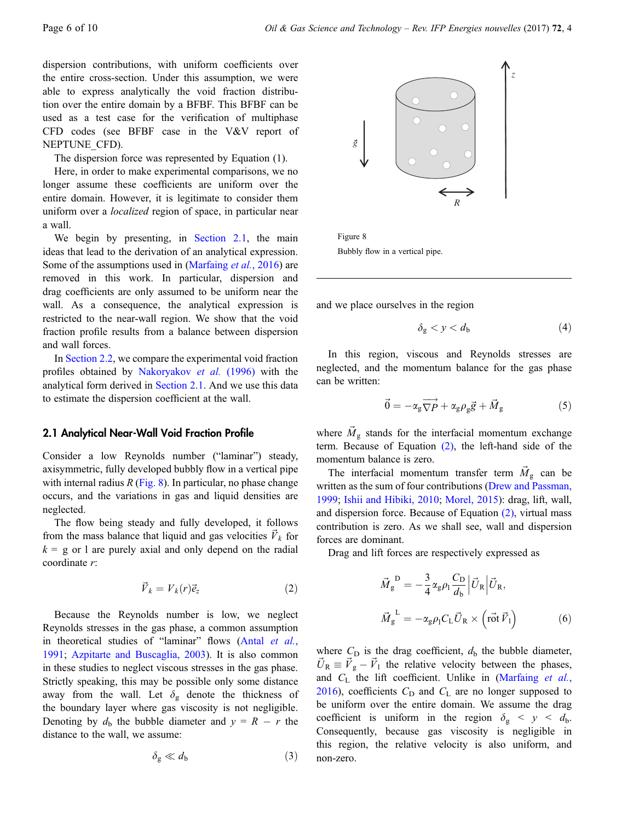dispersion contributions, with uniform coefficients over the entire cross-section. Under this assumption, we were able to express analytically the void fraction distribution over the entire domain by a BFBF. This BFBF can be used as a test case for the verification of multiphase CFD codes (see BFBF case in the V&V report of NEPTUNE\_CFD).

The dispersion force was represented by Equation (1).

Here, in order to make experimental comparisons, we no longer assume these coefficients are uniform over the entire domain. However, it is legitimate to consider them uniform over a *localized* region of space, in particular near a wall.

We begin by presenting, in Section 2.1, the main ideas that lead to the derivation of an analytical expression. Some of the assumptions used in ([Marfaing](#page-9-0) *et al.*, 2016) are removed in this work. In particular, dispersion and drag coefficients are only assumed to be uniform near the wall. As a consequence, the analytical expression is restricted to the near-wall region. We show that the void fraction profile results from a balance between dispersion and wall forces.

In [Section 2.2](#page-7-0), we compare the experimental void fraction profiles obtained by [Nakoryakov](#page-9-0) et al. (1996) with the analytical form derived in Section 2.1. And we use this data to estimate the dispersion coefficient at the wall.

#### 2.1 Analytical Near-Wall Void Fraction Profile

Consider a low Reynolds number ("laminar") steady, axisymmetric, fully developed bubbly flow in a vertical pipe with internal radius  $R$  (Fig. 8). In particular, no phase change occurs, and the variations in gas and liquid densities are neglected.

The flow being steady and fully developed, it follows from the mass balance that liquid and gas velocities  $\vec{V}_k$  for  $k = g$  or 1 are purely axial and only depend on the radial coordinate r:

$$
\vec{V}_k = V_k(r)\vec{e}_z \tag{2}
$$

Because the Reynolds number is low, we neglect Reynolds stresses in the gas phase, a common assumption in theoretical studies of "laminar" flows (Antal [et al.](#page-9-0), [1991;](#page-9-0) [Azpitarte and Buscaglia, 2003\)](#page-9-0). It is also common in these studies to neglect viscous stresses in the gas phase. Strictly speaking, this may be possible only some distance away from the wall. Let  $\delta_{\rm g}$  denote the thickness of the boundary layer where gas viscosity is not negligible. Denoting by  $d_b$  the bubble diameter and  $y = R - r$  the distance to the wall, we assume:

$$
\delta_g \ll d_b \tag{3}
$$



Figure 8 Bubbly flow in a vertical pipe.

and we place ourselves in the region

$$
\delta_{g} < y < d_{b} \tag{4}
$$

In this region, viscous and Reynolds stresses are neglected, and the momentum balance for the gas phase can be written:

$$
\vec{0} = -\alpha_{g}\overrightarrow{\nabla P} + \alpha_{g}\rho_{g}\vec{g} + \vec{M}_{g}
$$
 (5)

where  $\overline{M}_{g}$  stands for the interfacial momentum exchange term. Because of Equation (2), the left-hand side of the momentum balance is zero.

The interfacial momentum transfer term  $\overline{M}_{g}$  can be written as the sum of four contributions [\(Drew and Passman,](#page-9-0) [1999;](#page-9-0) [Ishii and Hibiki, 2010](#page-9-0); [Morel, 2015\)](#page-9-0): drag, lift, wall, and dispersion force. Because of Equation (2), virtual mass contribution is zero. As we shall see, wall and dispersion forces are dominant.

Drag and lift forces are respectively expressed as

$$
\vec{M}_{\rm g}^{\rm D} = -\frac{3}{4} \alpha_{\rm g} \rho_{\rm l} \frac{C_{\rm D}}{d_{\rm b}} \left| \vec{U}_{\rm R} \right| \vec{U}_{\rm R},
$$

$$
\vec{M}_{\rm g}^{\rm L} = -\alpha_{\rm g} \rho_{\rm l} C_{\rm L} \vec{U}_{\rm R} \times \left( \vec{\text{rot}} \,\vec{V}_{\rm l} \right) \tag{6}
$$

where  $C_D$  is the drag coefficient,  $d_b$  the bubble diameter,  $\vec{U}_R \equiv \vec{V}_g - \vec{V}_1$  the relative velocity between the phases, and  $C_L$  the lift coefficient. Unlike in [\(Marfaing](#page-9-0) et al., [2016\)](#page-9-0), coefficients  $C_D$  and  $C_L$  are no longer supposed to be uniform over the entire domain. We assume the drag coefficient is uniform in the region  $\delta_{g} < y < d_{b}$ . Consequently, because gas viscosity is negligible in this region, the relative velocity is also uniform, and non-zero.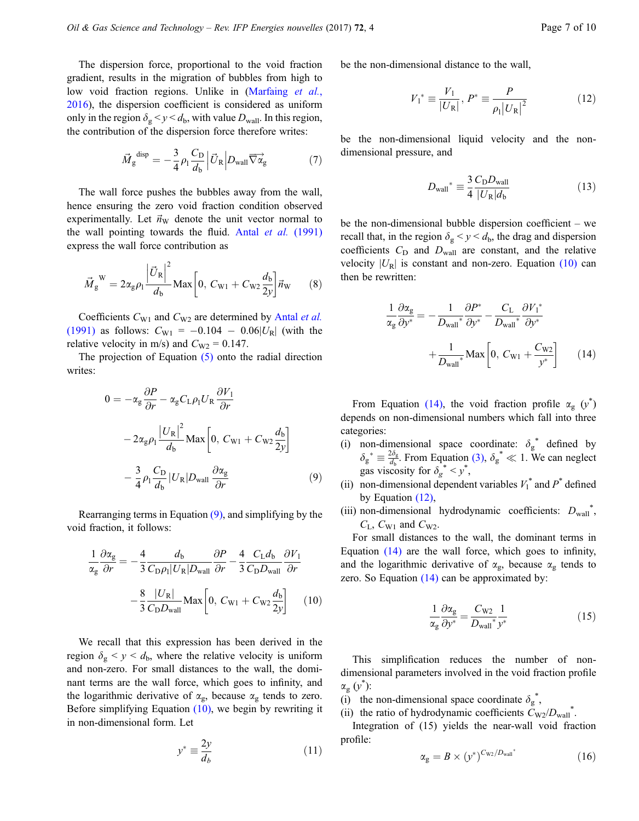The dispersion force, proportional to the void fraction gradient, results in the migration of bubbles from high to low void fraction regions. Unlike in ([Marfaing](#page-9-0) et al., [2016](#page-9-0)), the dispersion coefficient is considered as uniform only in the region  $\delta_{g} < y < d_{b}$ , with value  $D_{wall}$ . In this region, the contribution of the dispersion force therefore writes:

$$
\vec{M}_{\rm g}^{\rm disp} = -\frac{3}{4}\rho_{\rm l}\frac{C_{\rm D}}{d_{\rm b}} \left| \vec{U}_{\rm R} \right| D_{\rm wall} \overrightarrow{\nabla \alpha}_{\rm g} \tag{7}
$$

The wall force pushes the bubbles away from the wall, hence ensuring the zero void fraction condition observed experimentally. Let  $\vec{n}_W$  denote the unit vector normal to the wall pointing towards the fluid. Antal et al. [\(1991\)](#page-9-0) express the wall force contribution as

$$
\vec{M}_{\rm g}^{\rm W} = 2\alpha_{\rm g}\rho_{\rm l} \frac{\left|\vec{U}_{\rm R}\right|^2}{d_{\rm b}} \text{Max}\left[0, C_{\rm W1} + C_{\rm W2} \frac{d_{\rm b}}{2y}\right] \vec{n}_{\rm W} \qquad (8)
$$

Coefficients  $C_{W1}$  and  $C_{W2}$  are determined by [Antal](#page-9-0) et al. [\(1991\)](#page-9-0) as follows:  $C_{W1} = -0.104 - 0.06|U_R|$  (with the relative velocity in m/s) and  $C_{W2} = 0.147$ .

The projection of Equation (5) onto the radial direction writes:

$$
0 = -\alpha_g \frac{\partial P}{\partial r} - \alpha_g C_{\text{L}} \rho_1 U_{\text{R}} \frac{\partial V_1}{\partial r}
$$
  

$$
-2\alpha_g \rho_1 \frac{|U_{\text{R}}|^2}{d_{\text{b}}} \text{Max} \left[ 0, C_{\text{W1}} + C_{\text{W2}} \frac{d_{\text{b}}}{2y} \right]
$$
  

$$
-\frac{3}{4} \rho_1 \frac{C_{\text{D}}}{d_{\text{b}}} |U_{\text{R}}| D_{\text{wall}} \frac{\partial \alpha_g}{\partial r}
$$
 (9)

Rearranging terms in Equation (9), and simplifying by the void fraction, it follows:

$$
\frac{1}{\alpha_{\rm g}} \frac{\partial \alpha_{\rm g}}{\partial r} = -\frac{4}{3} \frac{d_{\rm b}}{C_{\rm D} \rho_{\rm l} |U_{\rm R}| D_{\rm wall}} \frac{\partial P}{\partial r} - \frac{4}{3} \frac{C_{\rm L} d_{\rm b}}{C_{\rm D} D_{\rm wall}} \frac{\partial V_{\rm l}}{\partial r}
$$

$$
-\frac{8}{3} \frac{|U_{\rm R}|}{C_{\rm D} D_{\rm wall}} \text{Max} \left[ 0, C_{\rm W1} + C_{\rm W2} \frac{d_{\rm b}}{2y} \right] \tag{10}
$$

We recall that this expression has been derived in the region  $\delta_{\rm g} < y < d_{\rm b}$ , where the relative velocity is uniform and non-zero. For small distances to the wall, the dominant terms are the wall force, which goes to infinity, and the logarithmic derivative of  $\alpha_{\rm g}$ , because  $\alpha_{\rm g}$  tends to zero. Before simplifying Equation  $(10)$ , we begin by rewriting it in non-dimensional form. Let

$$
y^* \equiv \frac{2y}{d_b} \tag{11}
$$

be the non-dimensional distance to the wall,

$$
V_1^* \equiv \frac{V_1}{|U_{\rm R}|}, \, P^* \equiv \frac{P}{\rho_1 |U_{\rm R}|^2} \tag{12}
$$

be the non-dimensional liquid velocity and the nondimensional pressure, and

$$
D_{\text{wall}}^* \equiv \frac{3}{4} \frac{C_{\text{D}} D_{\text{wall}}}{|U_{\text{R}}| d_{\text{b}}} \tag{13}
$$

be the non-dimensional bubble dispersion coefficient – we recall that, in the region  $\delta_{g} < y < d_{b}$ , the drag and dispersion coefficients  $C_D$  and  $D_{wall}$  are constant, and the relative velocity  $|U_{\rm R}|$  is constant and non-zero. Equation (10) can then be rewritten:

$$
\frac{1}{\alpha_{\rm g}} \frac{\partial \alpha_{\rm g}}{\partial y^*} = -\frac{1}{D_{\rm wall}^*} \frac{\partial P^*}{\partial y^*} - \frac{C_{\rm L}}{D_{\rm wall}^*} \frac{\partial V_1^*}{\partial y^*} + \frac{1}{D_{\rm wall}^*} \text{Max} \left[ 0, C_{\rm W1} + \frac{C_{\rm W2}}{y^*} \right] \tag{14}
$$

From Equation (14), the void fraction profile  $\alpha_{\rm g}$  (y<sup>\*</sup>) depends on non-dimensional numbers which fall into three categories:

- (i) non-dimensional space coordinate:  $\delta_g^*$  defined by  $\delta_{\rm g}^* \equiv \frac{2\delta_{\rm g}}{d_{\rm b}}$ . From Equation (3),  $\delta_{\rm g}^* \ll 1$ . We can neglect gas viscosity for  $\delta_g^* < y^*$ ,
- (ii) non-dimensional dependent variables  $V_1^*$  and  $P^*$  defined by Equation (12),
- (iii) non-dimensional hydrodynamic coefficients:  $D_{\text{wall}}^*$ ,  $C_{L}$ ,  $C_{W1}$  and  $C_{W2}$ .

For small distances to the wall, the dominant terms in Equation  $(14)$  are the wall force, which goes to infinity, and the logarithmic derivative of  $\alpha_{\rm g}$ , because  $\alpha_{\rm g}$  tends to zero. So Equation (14) can be approximated by:

$$
\frac{1}{\alpha_g} \frac{\partial \alpha_g}{\partial y^*} = \frac{C_{W2}}{D_{\text{wall}}} \frac{1}{y^*}
$$
 (15)

This simplification reduces the number of nondimensional parameters involved in the void fraction profile  $\alpha_{\rm g}$   $(y^*)$ :

- (i) the non-dimensional space coordinate  $\delta_g^*$ ,
- (ii) the ratio of hydrodynamic coefficients  $\tilde{C}_{W2}/D_{wall}^*$ .

Integration of (15) yields the near-wall void fraction profile:

$$
\alpha_{\rm g} = B \times (y^*)^{C_{\rm W2}/D_{\rm wall}^*} \tag{16}
$$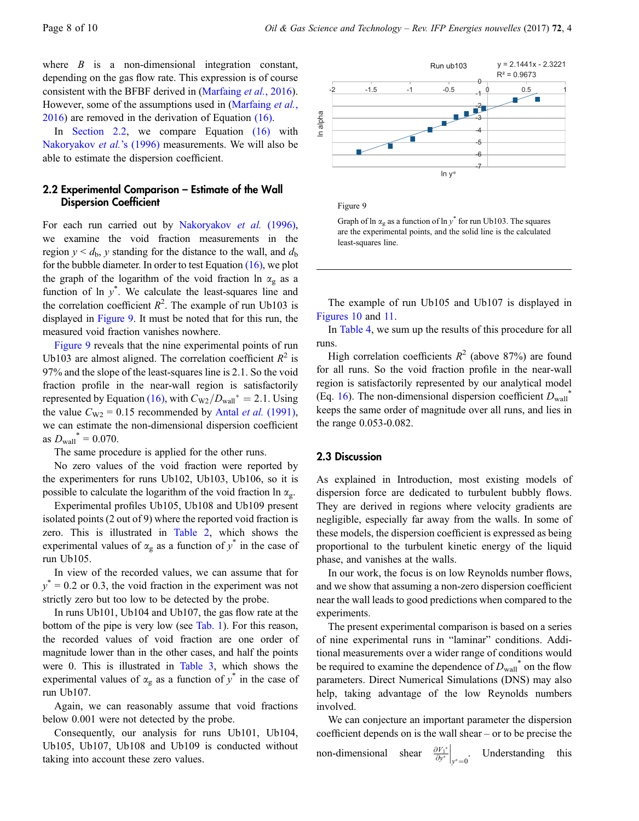<span id="page-7-0"></span>where  $B$  is a non-dimensional integration constant, depending on the gas flow rate. This expression is of course consistent with the BFBF derived in [\(Marfaing](#page-9-0) et al., 2016). However, some of the assumptions used in [\(Marfaing](#page-9-0) et al., [2016\)](#page-9-0) are removed in the derivation of Equation (16).

In Section 2.2, we compare Equation (16) with [Nakoryakov](#page-9-0) et al.'s (1996) measurements. We will also be able to estimate the dispersion coefficient.

## 2.2 Experimental Comparison – Estimate of the Wall Dispersion Coefficient

For each run carried out by [Nakoryakov](#page-9-0) et al. (1996), we examine the void fraction measurements in the region  $y < d_{\rm b}$ , y standing for the distance to the wall, and  $d_{\rm b}$ for the bubble diameter. In order to test Equation (16), we plot the graph of the logarithm of the void fraction ln  $\alpha_{\varphi}$  as a function of  $\ln y^*$ . We calculate the least-squares line and the correlation coefficient  $R^2$ . The example of run Ub103 is displayed in Figure 9. It must be noted that for this run, the measured void fraction vanishes nowhere.

Figure 9 reveals that the nine experimental points of run Ub103 are almost aligned. The correlation coefficient  $R^2$  is 97% and the slope of the least-squares line is 2.1. So the void fraction profile in the near-wall region is satisfactorily represented by Equation (16), with  $C_{\text{W2}}/D_{\text{wall}}^* = 2.1$ . Using the value  $C_{W2} = 0.15$  recommended by Antal *et al.* [\(1991\)](#page-9-0), we can estimate the non-dimensional dispersion coefficient as  $D_{\text{wall}}^* = 0.070$ .

The same procedure is applied for the other runs.

No zero values of the void fraction were reported by the experimenters for runs Ub102, Ub103, Ub106, so it is possible to calculate the logarithm of the void fraction  $\ln \alpha_g$ .

Experimental profiles Ub105, Ub108 and Ub109 present isolated points (2 out of 9) where the reported void fraction is zero. This is illustrated in [Table 2](#page-8-0), which shows the experimental values of  $\alpha_{\rm g}$  as a function of  $y^*$  in the case of run Ub105.

In view of the recorded values, we can assume that for  $y^* = 0.2$  or 0.3, the void fraction in the experiment was not strictly zero but too low to be detected by the probe.

In runs Ub101, Ub104 and Ub107, the gas flow rate at the bottom of the pipe is very low (see [Tab. 1\)](#page-3-0). For this reason, the recorded values of void fraction are one order of magnitude lower than in the other cases, and half the points were 0. This is illustrated in [Table 3](#page-8-0), which shows the experimental values of  $\alpha_{\rm g}$  as a function of  $y^*$  in the case of run Ub107.

Again, we can reasonably assume that void fractions below 0.001 were not detected by the probe.

Consequently, our analysis for runs Ub101, Ub104, Ub105, Ub107, Ub108 and Ub109 is conducted without taking into account these zero values.



Figure 9



The example of run Ub105 and Ub107 is displayed in [Figures 10](#page-8-0) and [11](#page-8-0).

In [Table 4,](#page-8-0) we sum up the results of this procedure for all runs.

High correlation coefficients  $R^2$  (above 87%) are found for all runs. So the void fraction profile in the near-wall region is satisfactorily represented by our analytical model (Eq. 16). The non-dimensional dispersion coefficient  $D_{\text{wall}}^{\dagger}$ keeps the same order of magnitude over all runs, and lies in the range 0.053-0.082.

#### 2.3 Discussion

As explained in Introduction, most existing models of dispersion force are dedicated to turbulent bubbly flows. They are derived in regions where velocity gradients are negligible, especially far away from the walls. In some of these models, the dispersion coefficient is expressed as being proportional to the turbulent kinetic energy of the liquid phase, and vanishes at the walls.

In our work, the focus is on low Reynolds number flows, and we show that assuming a non-zero dispersion coefficient near the wall leads to good predictions when compared to the experiments.

The present experimental comparison is based on a series of nine experimental runs in "laminar" conditions. Additional measurements over a wider range of conditions would be required to examine the dependence of  $D_{\text{wall}}^*$  on the flow parameters. Direct Numerical Simulations (DNS) may also help, taking advantage of the low Reynolds numbers involved.

We can conjecture an important parameter the dispersion coefficient depends on is the wall shear – or to be precise the

non-dimensional shear  $\frac{\partial V_1^*}{\partial y^*}\Big|_{y^*=0}$ . Understanding this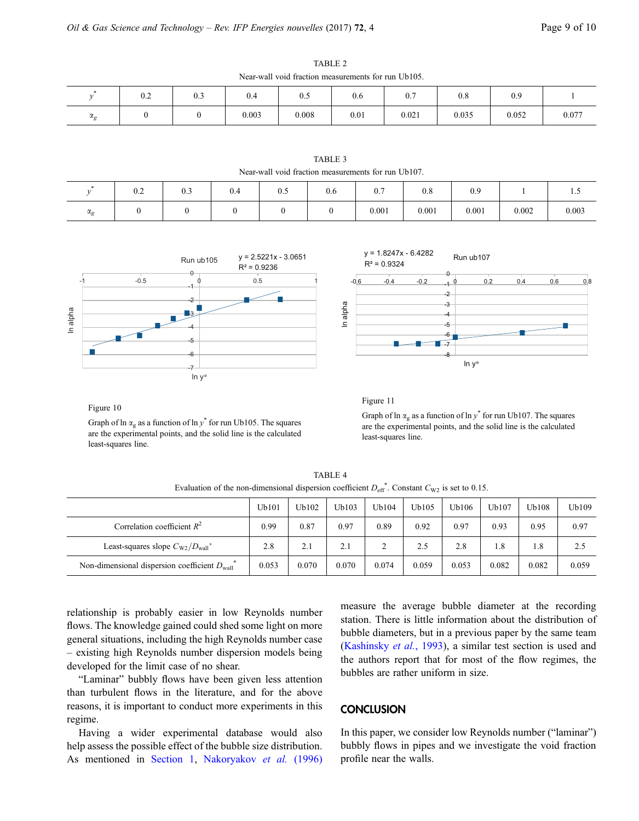| TABLE 2                                             |
|-----------------------------------------------------|
| Near-wall void fraction measurements for run Ub105. |

<span id="page-8-0"></span>

|                                                               | 0.2 | $\sim$ $\sim$<br>U.J | 0.4   | υ.υ   | 0.6  | 0.7   | 0.8   | $_{0.9}$ |       |
|---------------------------------------------------------------|-----|----------------------|-------|-------|------|-------|-------|----------|-------|
| $\sim$<br>$\mathcal{L}_{\mathcal{O}}$<br>$\ddot{\phantom{0}}$ |     |                      | 0.003 | 0.008 | 0.01 | 0.021 | 0.035 | 0.052    | 0.077 |

TABLE 3 Near-wall void fraction measurements for run Ub107.

|                      | U.Z | U.S | 0.4 | 0.5 | 0.6 | $\Omega$ $\tau$<br>$\mathbf{U}$ . | U.8   | 0.9   |       | $\cdot$ |
|----------------------|-----|-----|-----|-----|-----|-----------------------------------|-------|-------|-------|---------|
| $\sim$<br>$\alpha_g$ |     |     |     |     |     | 0.001                             | 0.001 | 0.001 | 0.002 | 0.003   |





#### Figure 10

Graph of ln  $\alpha_{\rm g}$  as a function of ln  $y^*$  for run Ub105. The squares are the experimental points, and the solid line is the calculated least-squares line.

| × |  |
|---|--|
|---|--|

Graph of  $\ln \alpha_g$  as a function of  $\ln y^*$  for run Ub107. The squares are the experimental points, and the solid line is the calculated least-squares line.

| Evaluation of the non-dimensional dispersion coefficient $D_{\text{eff}}$ . Constant $C_{\text{W2}}$ is set to 0.15. |       |        |       |       |       |       |       |              |       |
|----------------------------------------------------------------------------------------------------------------------|-------|--------|-------|-------|-------|-------|-------|--------------|-------|
|                                                                                                                      | Ub101 | Ub102- | Ub103 | Ub104 | Ub105 | Ub106 | Ub107 | <b>Ub108</b> | Ub109 |
| Correlation coefficient $R^2$                                                                                        | 0.99  | 0.87   | 0.97  | 0.89  | 0.92  | 0.97  | 0.93  | 0.95         | 0.97  |
| Least-squares slope $C_{\rm W2}/D_{\rm wall}$ <sup>*</sup>                                                           | 2.8   | 2.1    | 2.1   |       | 2.5   | 2.8   | 1.8   | 1.8          | 2.5   |
| Non-dimensional dispersion coefficient $D_{wall}$                                                                    | 0.053 | 0.070  | 0.070 | 0.074 | 0.059 | 0.053 | 0.082 | 0.082        | 0.059 |

TABLE 4 Evaluation of the non-dimensional dispersion coefficient  $D_{\text{eff}}^*$ . Constant  $C_{W2}$  is set to 0.15.

relationship is probably easier in low Reynolds number flows. The knowledge gained could shed some light on more general situations, including the high Reynolds number case – existing high Reynolds number dispersion models being developed for the limit case of no shear.

"Laminar" bubbly flows have been given less attention than turbulent flows in the literature, and for the above reasons, it is important to conduct more experiments in this regime.

Having a wider experimental database would also help assess the possible effect of the bubble size distribution. As mentioned in [Section 1](#page-2-0), [Nakoryakov](#page-9-0) et al. (1996) measure the average bubble diameter at the recording station. There is little information about the distribution of bubble diameters, but in a previous paper by the same team ([Kashinsky](#page-9-0) et al., 1993), a similar test section is used and the authors report that for most of the flow regimes, the bubbles are rather uniform in size.

#### **CONCLUSION**

In this paper, we consider low Reynolds number ("laminar") bubbly flows in pipes and we investigate the void fraction profile near the walls.